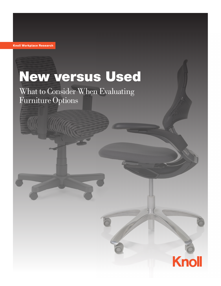Knoll Workplace Research

# New versus Used

What to Consider When Evaluating Furniture Options

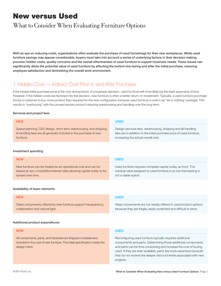# New versus Used

## What to Consider When Evaluating Furniture Options

With an eye on reducing costs, organizations often evaluate the purchase of used furnishings for their new workplaces. While used furniture savings may appear considerable, buyers must take into account a series of underlying factors in their decision making process: hidden costs, quality concerns and the overall effectiveness of used furniture to support business needs. These issues can significantly dilute the potential value of used furniture by affecting the bottom line during and after the initial purchase, reducing employee satisfaction and diminishing the overall work environment.

## 1. Hidden Cost — Indirect Cost Prior to and After Purchase

If the lowest initial purchase price is the only driving factor of a business decision, used furniture will most likely be the least expensive choice. However, if the hidden costs are factored into the decision, new furniture is often a better return on investment. Typically, a used furniture purchase forces a customer to buy more product than required for the new configuration because used furniture is sold in an "all or nothing" package. This results in "overbuying" with the unused excess product requiring warehousing and handling over the long term.

#### Services and project fees

| <b>NEW</b>                                                        | USED                                                                  |
|-------------------------------------------------------------------|-----------------------------------------------------------------------|
| Space planning, CAD design, short term warehousing, and shipping  | Design services fees, warehousing, shipping and all handling          |
| & handling fees are all generally included in the purchase of new | fees are in addition to the initial purchase price of used furniture, |
| furniture.                                                        | increasing the actual overall cost.                                   |

#### Investment spending

| <b>NEW</b>                                                              | <b>USED</b>                                                         |
|-------------------------------------------------------------------------|---------------------------------------------------------------------|
| New furniture can be treated as an operational cost and can be          | Used furniture requires complete capital outlay up front. The       |
| leased at very competitive interest rates allowing capital outlay to be | residual value assigned to used furniture is so low that leasing is |
| spread over time.                                                       | not a viable option.                                                |

#### Availability of basic elements

| <b>NEW</b>                                                      | <b>USED</b>                                                        |
|-----------------------------------------------------------------|--------------------------------------------------------------------|
| Glass components offered by new furniture support transparency, | Glass components are not readily offered in used product options   |
| collaboration and natural light.                                | because they are fragile, easily scratched and difficult to store. |

#### Additional product expenditures

| <b>NEW</b>                                                                                                                                                   | ISED                                                                                                                                                                                                                                                                                                                                                    |
|--------------------------------------------------------------------------------------------------------------------------------------------------------------|---------------------------------------------------------------------------------------------------------------------------------------------------------------------------------------------------------------------------------------------------------------------------------------------------------------------------------------------------------|
| All components, parts, and hardware are shipped complete and<br>included in the cost of new furniture. The initial specification meets the<br>design intent. | Reconfiguring used furniture typically requires additional<br>components and parts. Determining those additional components<br>and parts can be time consuming and increase the cost of buying<br>used. If they are even available, parts are more expensive because<br>they do not receive the deeper discount levels associated with new<br>projects. |
|                                                                                                                                                              |                                                                                                                                                                                                                                                                                                                                                         |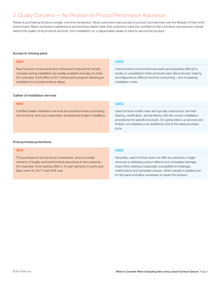## 2. Quality Concerns — No Provision for Product Performance Assurance

Rarely is purchasing furniture a single, one time transaction. Most customers need access to product and services over the lifespan of their work environment. Basic workplace maintenance and evolving needs mean that customers need the confidence that a furniture manufacturer stands behind the quality of its products and that, from installation on, a dependable dealer is there to service the product.

#### Access to missing parts

| <b>NEW</b>                                                                                                                                                                                                                                                 | USED                                                                                                                                                                                                                          |
|------------------------------------------------------------------------------------------------------------------------------------------------------------------------------------------------------------------------------------------------------------|-------------------------------------------------------------------------------------------------------------------------------------------------------------------------------------------------------------------------------|
| New furniture components and critical parts required for simple<br>changes during installation are readily available and easy to order.<br>(For example, Knoll offers a 24/7 critical parts program allowing an<br>installation to proceed without delay). | Used furniture components and parts are frequently difficult to<br>locate or unavailable if older products were discontinued, making<br>reconfigurations difficult and time consuming – and increasing<br>installation costs. |
| Caliber of installation services                                                                                                                                                                                                                           |                                                                                                                                                                                                                               |
| <b>NFW</b>                                                                                                                                                                                                                                                 |                                                                                                                                                                                                                               |

Certified dealer installation services are provided when purchasing new furniture, ensuring a seamless, professional project installation.

Used furniture install crews are typically outsourced, and lack training, certification, and familiarity with the correct installation procedures for specific products. On-going follow-up services are limited, not available or an additional cost to the initial purchase price.

#### Post purchase protections

| <b>NEW</b>                                                                                                                                                                                                                                     | <b>USED</b>                                                                                                                                                                                                                                                                                                             |
|------------------------------------------------------------------------------------------------------------------------------------------------------------------------------------------------------------------------------------------------|-------------------------------------------------------------------------------------------------------------------------------------------------------------------------------------------------------------------------------------------------------------------------------------------------------------------------|
| The purchase of new furniture is warranted, which provides<br>certainty of quality and performance assurance to the customer.<br>(For example, Knoll seating offers a 12 year warranty on parts and<br>labor, even for 24/7, multi-shift use). | Generally, used furniture does not offer any warranty or legal<br>recourse to address product defects and concealed damage.<br>Used office seating is especially susceptible to breakage,<br>malfunctions and upholstery issues, which equate to added cost<br>for the parts and labor necessary to repair the product. |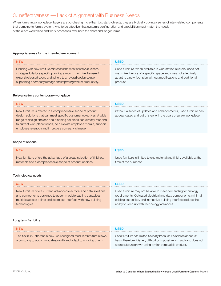## 3. Ineffectiveness — Lack of Alignment with Business Needs

When furnishing a workplace, buyers are purchasing more than just static objects; they are typically buying a series of inter-related components that combine to form a system, And to be effective, that system's configuration and capabilities must match the needs of the client workplace and work processes over both the short and longer terms.

#### Appropriateness for the intended environment

| <b>NEW</b>                                                             | USED                                                             |
|------------------------------------------------------------------------|------------------------------------------------------------------|
| Planning with new furniture addresses the most effective business      | Used furniture, when available in workstation clusters, does not |
| strategies to tailor a specific planning solution, maximize the use of | maximize the use of a specific space and does not effectively    |
| expensive leased space and adhere to an overall design solution        | adapt to a new floor plan without modifications and additional   |
| supporting a company's image and improving worker productivity.        | product.                                                         |

#### Relevance for a contemporary workplace

| <b>NEW</b>                                                                                                                                                                                                                                                                                                                            | USED                                                                                                                                |
|---------------------------------------------------------------------------------------------------------------------------------------------------------------------------------------------------------------------------------------------------------------------------------------------------------------------------------------|-------------------------------------------------------------------------------------------------------------------------------------|
| New furniture is offered in a comprehensive scope of product<br>design solutions that can meet specific customer objectives. A wide<br>range of design choices and planning solutions can directly respond<br>to current workplace trends, help elevate employee morale, support<br>employee retention and improve a company's image. | Without a series of updates and enhancements, used furniture can<br>appear dated and out of step with the goals of a new workplace. |

#### Scope of options

| <b>NEW</b>                                                           | USED                                                                   |
|----------------------------------------------------------------------|------------------------------------------------------------------------|
| New furniture offers the advantage of a broad selection of finishes, | Used furniture is limited to one material and finish, available at the |
| materials and a comprehensive scope of product choices.              | time of the purchase.                                                  |

#### Technological needs

| <b>NEW</b>                                                           | <b>USED</b>                                                       |
|----------------------------------------------------------------------|-------------------------------------------------------------------|
| New furniture offers current, advanced electrical and data solutions | Used furniture may not be able to meet demanding technology       |
| and components designed to accommodate cabling capacities,           | requirements. Outdated electrical and data components, minimal    |
| multiple access points and seamless interface with new building      | cabling capacities, and ineffective building interface reduce the |
| technologies.                                                        | ability to keep up with technology advances.                      |

#### Long term flexibility

| <b>NFW</b>                                                                                                                             | USED                                                                                                                                                 |
|----------------------------------------------------------------------------------------------------------------------------------------|------------------------------------------------------------------------------------------------------------------------------------------------------|
| The flexibility inherent in new, well designed modular furniture allows<br>a company to accommodate growth and adapt to ongoing churn. | Used furniture has limited flexibility because it's sold on an "as is"<br>basis; therefore, it is very difficult or impossible to match and does not |
|                                                                                                                                        | address future growth using similar, compatible product.                                                                                             |